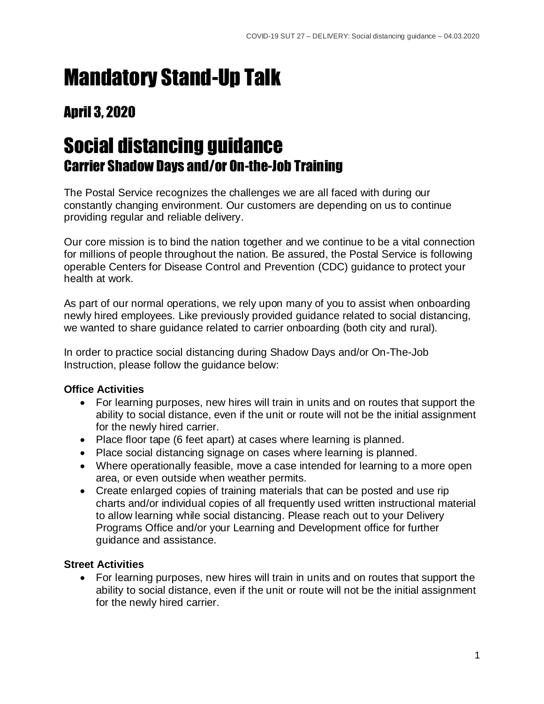# Mandatory Stand-Up Talk

### April 3, 2020

## Social distancing guidance Carrier Shadow Days and/or On-the-Job Training

The Postal Service recognizes the challenges we are all faced with during our constantly changing environment. Our customers are depending on us to continue providing regular and reliable delivery.

Our core mission is to bind the nation together and we continue to be a vital connection for millions of people throughout the nation. Be assured, the Postal Service is following operable Centers for Disease Control and Prevention (CDC) guidance to protect your health at work.

As part of our normal operations, we rely upon many of you to assist when onboarding newly hired employees. Like previously provided guidance related to social distancing, we wanted to share guidance related to carrier onboarding (both city and rural).

In order to practice social distancing during Shadow Days and/or On-The-Job Instruction, please follow the guidance below:

### **Office Activities**

- For learning purposes, new hires will train in units and on routes that support the ability to social distance, even if the unit or route will not be the initial assignment for the newly hired carrier.
- Place floor tape (6 feet apart) at cases where learning is planned.
- Place social distancing signage on cases where learning is planned.
- Where operationally feasible, move a case intended for learning to a more open area, or even outside when weather permits.
- Create enlarged copies of training materials that can be posted and use rip charts and/or individual copies of all frequently used written instructional material to allow learning while social distancing. Please reach out to your Delivery Programs Office and/or your Learning and Development office for further guidance and assistance.

### **Street Activities**

• For learning purposes, new hires will train in units and on routes that support the ability to social distance, even if the unit or route will not be the initial assignment for the newly hired carrier.